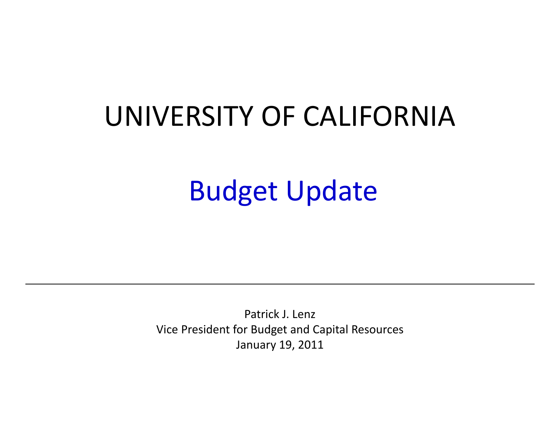# UNIVERSITY OF CALIFORNIA

# Budget Update

Patrick J. Lenz Vice President for Budget and Capital Resources January 19, 2011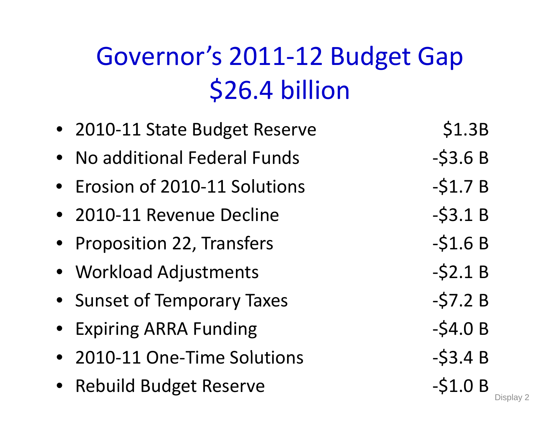# Governor's 2011‐12 Budget Gap \$26.4 billion

• 2010-11 State Budget Reserve \$1.3B • No additional Federal Funds - \$3.6 B • Erosion of 2010-11 Solutions - \$1.7 B • 2010-11 Revenue Decline – S3.1 B • Proposition 22, Transfers – S1.6 B • Workload Adjustments - \$2.1 B • Sunset of Temporary Taxes **Fact 19 For State 1-57.2 B** • Expiring ARRA Funding • 1999 - 1999 - 1999 - 1999 - 1999 - 1999 - 1999 - 1999 - 1999 - 1999 - 199 • 2010-11 One-Time Soluti  $-53.4 B$ • Rebuild Budget Reserve  $-$ \$1.0 B  $_{\textrm{\tiny Display 2}}$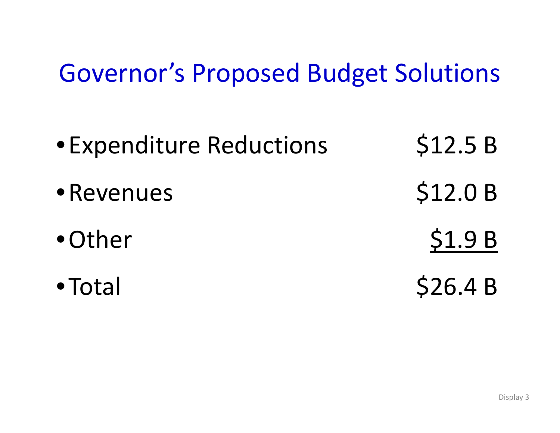# Governor's Proposed Budget Solutions

- Expenditure Reductions \$12.5 B •Revenues\$12.0 B •Other\$1.9 B
- Total  $$26.4 B$

Display 3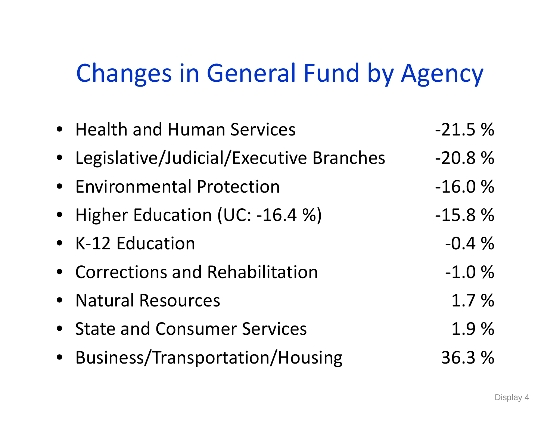# Changes in General Fund by Agency

| • Health and Human Services               | $-21.5%$ |
|-------------------------------------------|----------|
| • Legislative/Judicial/Executive Branches | $-20.8%$ |
| • Environmental Protection                | $-16.0%$ |
| • Higher Education (UC: -16.4 %)          | $-15.8%$ |
| • K-12 Education                          | $-0.4%$  |
| • Corrections and Rehabilitation          | $-1.0%$  |
| • Natural Resources                       | 1.7 %    |
| • State and Consumer Services             | 1.9%     |
| • Business/Transportation/Housing         | 36.3 %   |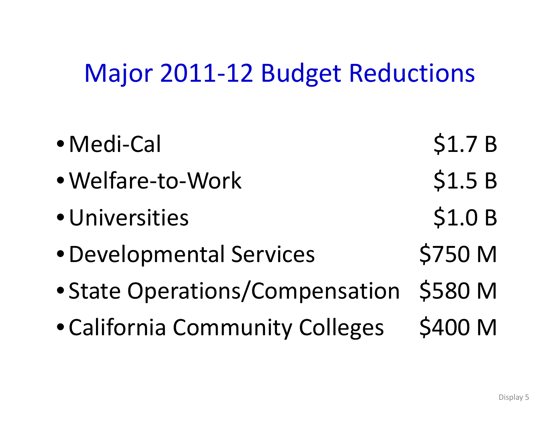# Major 2011‐12 Budget Reductions

 $\bullet$ ● Medi-Cal \$1.7 B • Welfare-to-Work \$1.5 B • Universities \$1.0 B • Developmental Services \$750 M • State Operations/Compensation \$580 <sup>M</sup> • California Community Colleges \$400 M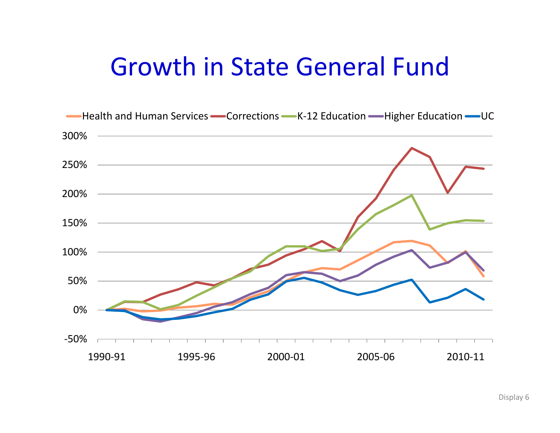# Growth in State General Fund

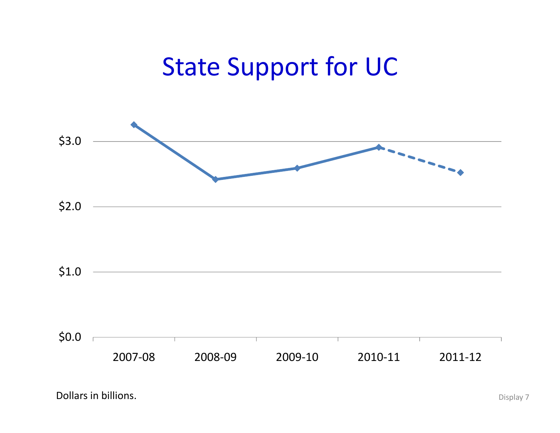# State Support for UC

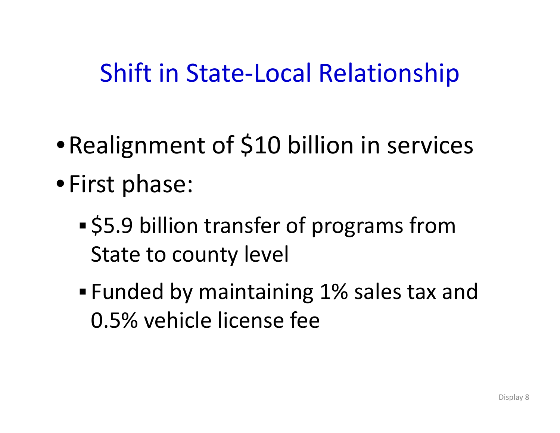## Shift in State‐Local Relationship

- Realignment of \$10 billion in services
- First phase:
	- \$5.9 billion transfer of programs from State to county level
	- Funded by maintaining 1% sales tax and 0.5% vehicle license fee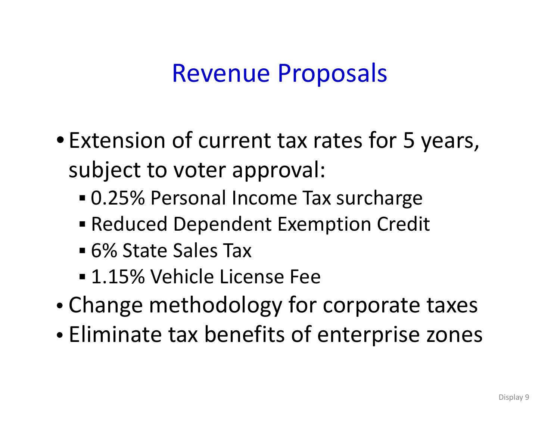# Revenue Proposals

- Extension of current tax rates for 5 years, subject to voter approval:
	- 0.25% Personal Income Tax surcharge
	- Reduced Dependent Exemption Credit
	- **6% State Sales Tax**
	- 1.15% Vehicle License Fee
- •• Change methodology for corporate taxes
- Eliminate tax benefits of enterprise zones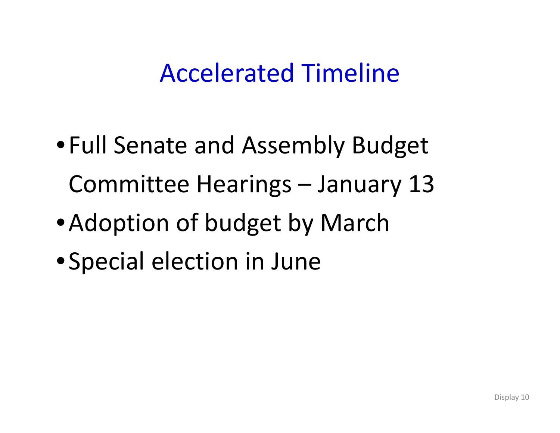# Accelerated Timeline

- Full Senate and Assembly Budget Committee Hearings – January 13
- •Adoption of budget by March
- Special election in June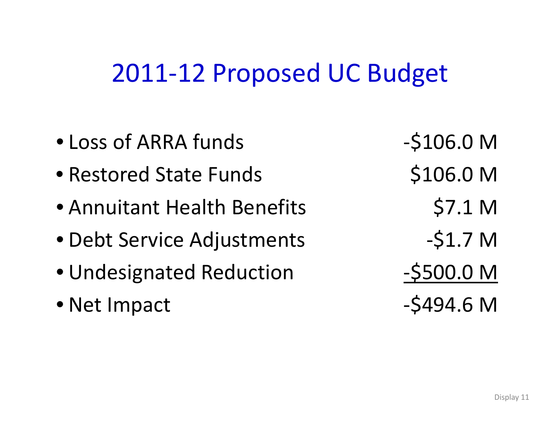#### 2011‐12 Proposed UC Budget

- Loss of ARRA
- Restored State Funds \$106.0 M
- Annuitant Health Benefits 57.1 M
- Debt Service Adjustments ‐\$1 7. <sup>M</sup>
- Undesignated Reduction ‐\$500.0 <sup>M</sup>
- Net Impact  $-$  \$494.6 M
- $-S106.0 M$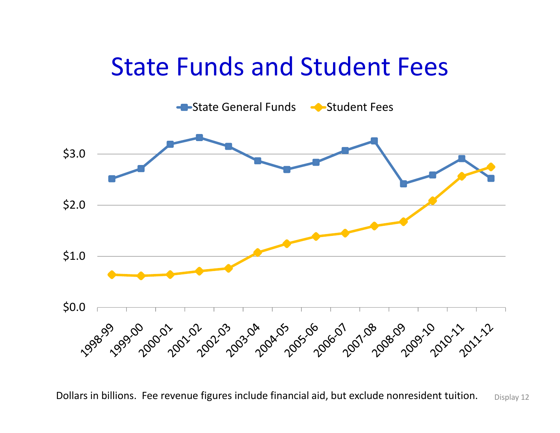#### State Funds and Student Fees



Dollars in billions. Fee revenue figures include financial aid, but exclude nonresident tuition.  $\Box$  Display 12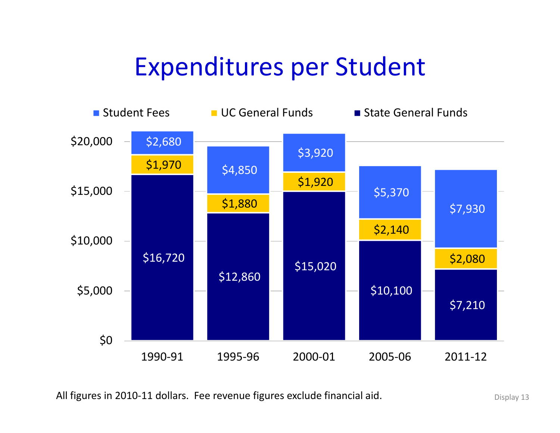# Expenditures per Student



All figures in 2010-11 dollars. Fee revenue figures exclude financial aid. Display 13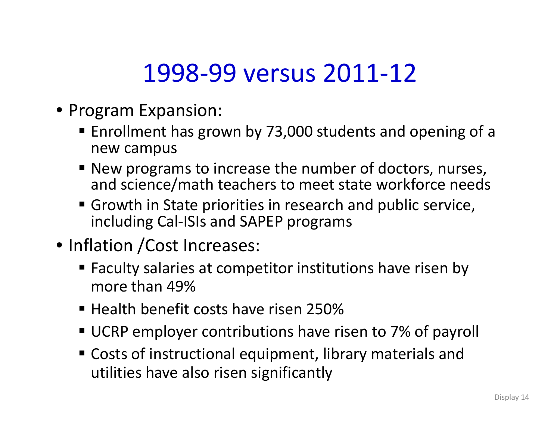# 1998‐99 versus 2011‐12

- Program Expansion:
	- **Enrollment has grown by 73,000 students and opening of a** new campus
	- New programs to increase the number of doctors, nurses, and science/math teachers to meet state workforce needs
	- Growth in State priorities in research and public service, including Cal‐ISIs and SAPEP programs
- Inflation /Cost Increases:
	- Faculty salaries at competitor institutions have risen by more than 49%
	- Health benefit costs have risen 250%
	- UCRP employer contributions have risen to 7% of payroll
	- $\blacksquare$  Costs of instructional equipment, library materials and utilities have also risen significantly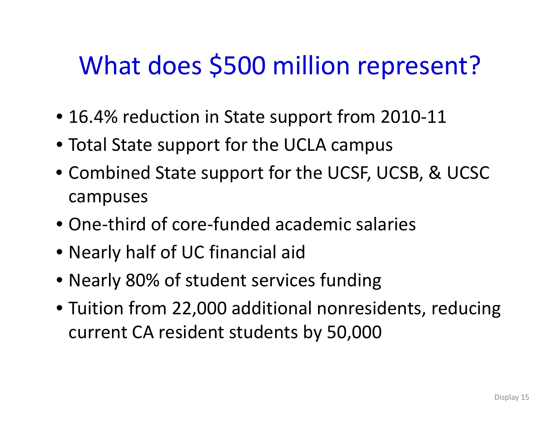# What does \$500 million represent?

- 16.4% reduction in State support from 2010‐11
- Total State support for the UCLA campus
- Combined State support for the UCSF, UCSB, & UCSC campuses
- One‐third of core‐funded academic salaries
- Nearly half of UC financial aid
- Nearly 80% of student services funding
- Tuition from 22,000 additional nonresidents, reducing current CA resident students by 50,000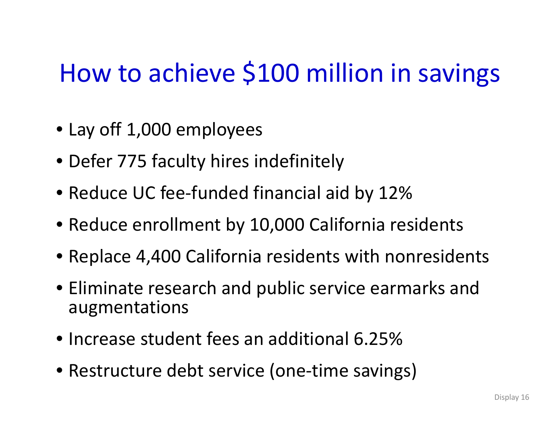# How to achieve \$100 million in savings

- Lay off 1,000 employees
- Defer 775 faculty hires indefinitely
- Reduce UC fee-funded financial aid by 12%
- Reduce enrollment by 10,000 California residents
- Replace 4,400 California residents with nonresidents
- Eliminate research and public service earmarks and augmentations
- Increase student fees an additional 6.25%
- Restructure debt service (one‐time savings)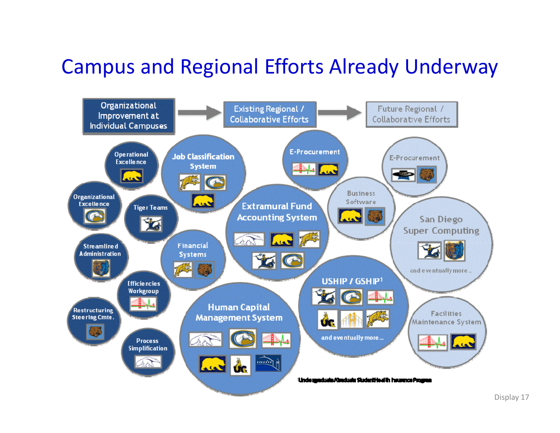#### Campus and Regional Efforts Already Underway

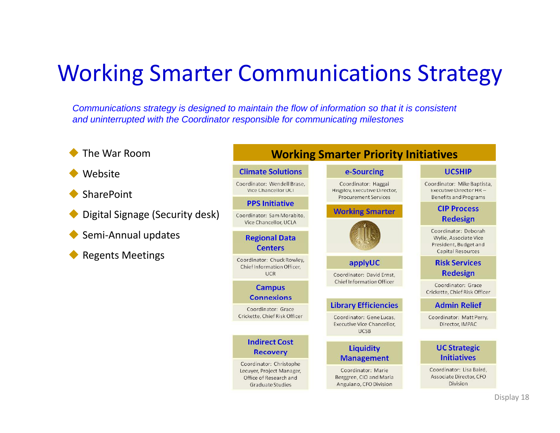#### Working Smarter Communications Strategy

*Communications strategy is designed to maintain the flow of information so that it is consistent and uninterrupted with the Coordinator responsible for communicating milestones*

- $\blacklozenge$ The War Room
- ♦ Website
- ♦ **SharePoint**
- ♦ Digital Signage (Security desk)
- $\blacklozenge$ Semi‐Annual updates
- $\blacklozenge$ Regents Meetings

#### **Working Smarter Priority Initiatives Climate Solutions** e-Sourcing **UCSHIP** Coordinator: Wendell Brase, Coordinator: Haggai Coordinator: Mike Baptista, Vice Chancellor UCI Hisgilov, Executive Director, Executive Director HR-**Procurement Services Benefits and Programs PPS Initiative CIP Process Working Smarter** Coordinator: Sam Morabito, **Redesign** Vice Chancellor, UCLA Coordinator: Deborah **Regional Data** Wylie, Associate Vice President, Budget and **Centers Capital Resources** Coordinator: Chuck Rowley, applyUC **Risk Services** Chief Information Officer, **Redesign UCR** Coordinator: David Ernst, **Chief Information Officer** Coordinator: Grace **Campus** Crickette, Chief Risk Officer **Connexions Library Efficiencies Admin Relief** Coordinator: Grace Crickette, Chief Risk Officer Coordinator: Gene Lucas, Coordinator: Matt Perry, Executive Vice Chancellor, Director, IMPAC **UCSB Indirect Cost Liquidity UC Strategic Recovery Initiatives Management** Coordinator: Christophe Coordinator: Marie Coordinator: Lisa Baird. Lecuyer, Project Manager, Associate Director, CFO Berggren, CIO and Maria Office of Research and Division **Graduate Studies** Anguiano, CFO Division Display 18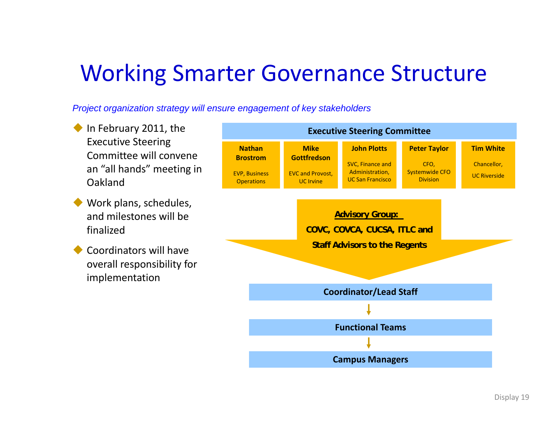#### Working Smarter Governance Structure

*Project organization strategy will ensure engagement of key stakeholders*

**In February 2011, the <b>Executive** Construction of the Executive **Steering Committee g** Executive Steering Committee will convene an "all hands" meeting in Oakland**NathanBrostrom**EVP, Business **Operations MikeGottfredson**EVC and Provost, UC Irvine **John Plotts** SVC, Finance and Administration, UC San Francisco **Peter Taylor** CFO, Systemwide CFO Division **Tim White** Chancellor, UC Riverside ♦ Work plans, schedules, and milestones will be finalized**Advisory Group: COVC, COVCA, CUCSA, ITLC and Staff Advisors to the Regent Coordinators will have** overall responsibility for implementation **Coordinator/Lead Staff Staff Advisors to the Regents Functional TeamsCampus Managers**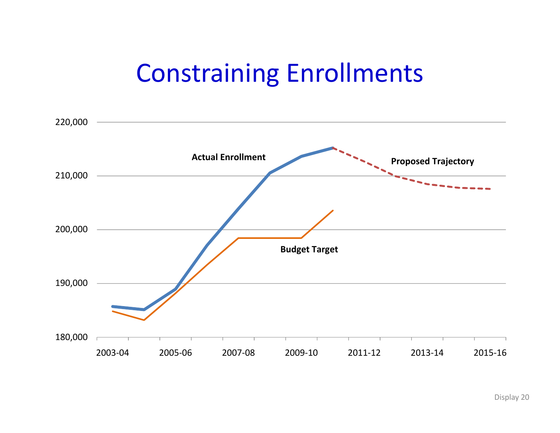## Constraining Enrollments

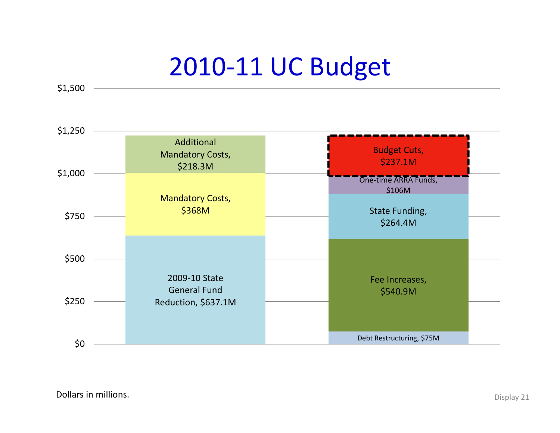# 2010‐11 UC Budget

\$1,500

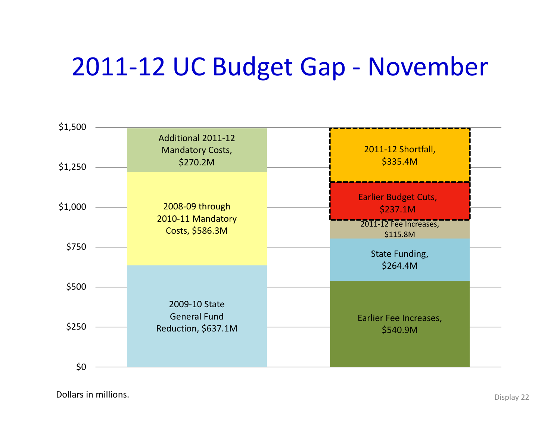# 2011‐12 UC Budget Gap ‐ November



Dollars in**n millions.** Display 22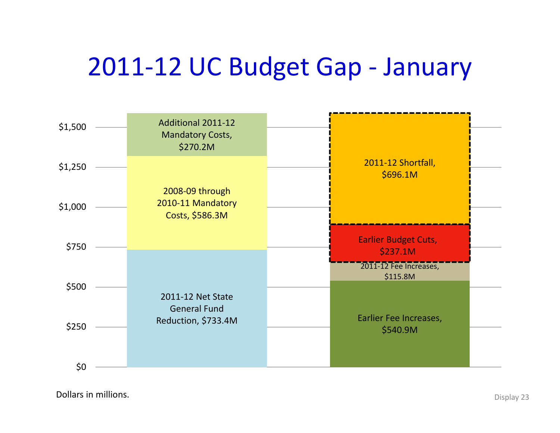# 2011‐12 UC Budget Gap ‐ January



Dollars in**n millions.** Display 23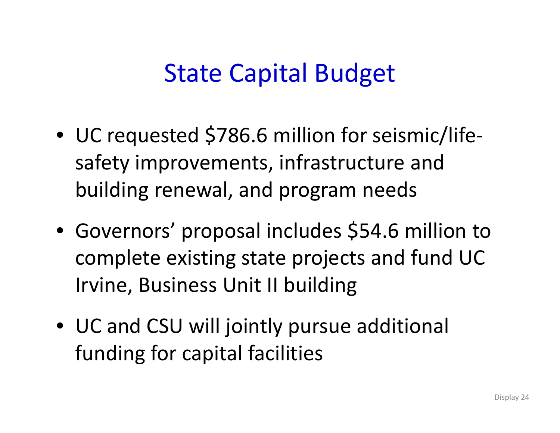## State Capital Budget

- UC requested \$786.6 million for seismic/lifesafety improvements, infrastructure and building renewal, and program needs
- Governors' proposal includes \$54.6 million to complete existing state projects and fund UC Irvine, Business Unit II building
- UC and CSU will jointly pursue additional funding for capital facilities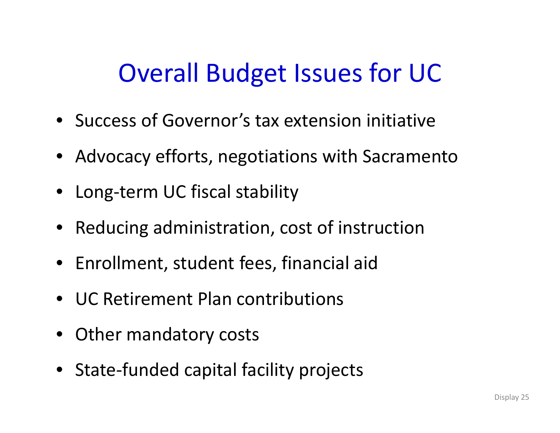# Overall Budget Issues for UC

- Success of Governor's tax extension initiative
- Advocacy efforts, negotiations with Sacramento
- Long‐term UC fiscal stability
- Reducing administration, cost of instruction
- Enrollment, student fees, financial aid
- UC Retirement Plan contributions
- Other mandatory costs
- State-funded capital facility projects